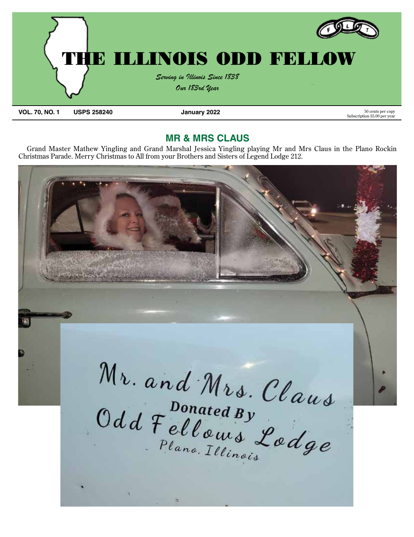

**MR & MRS CLAUS**

Grand Master Mathew Yingling and Grand Marshal Jessica Yingling playing Mr and Mrs Claus in the Plano Rockin Christmas Parade. Merry Christmas to All from your Brothers and Sisters of Legend Lodge 212.

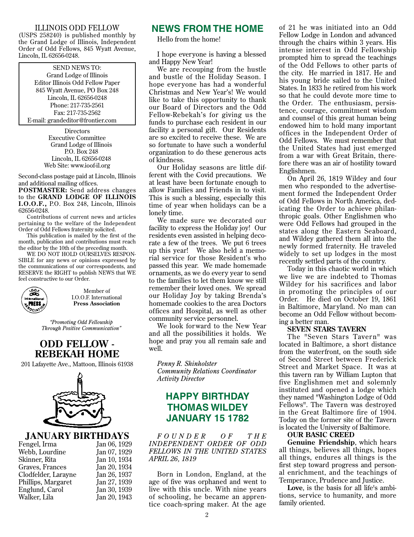### ILLINOIS ODD FELLOW

(USPS 258240) is published monthly by the Grand Lodge of Illinois, Independent Order of Odd Fellows, 845 Wyatt Avenue, Lincoln, IL 62656-0248.

#### SEND NEWS TO:

Grand Lodge of Illinois Editor Illinois Odd Fellow Paper 845 Wyatt Avenue, PO Box 248 Lincoln, IL 62656-0248 Phone: 217-735-2561 Fax: 217-735-2562 E-mail: grandeditor@frontier.com

> **Directors** Executive Committee Grand Lodge of Illinois P.O. Box 248 Lincoln, IL 62656-0248 Web Site: www.ioof-il.org

Second-class postage paid at Lincoln, Illinois and additional mailing offices.

**POSTMASTER:** Send address changes to the **GRAND LODGE OF ILLINOIS I.O.O.F.,** P.O. Box 248, Lincoln, Illinois 62656-0248.

Contributions of current news and articles pertaining to the welfare of the Independent Order of Odd Fellows fraternity solicited.

This publication is mailed by the first of the month, publication and contributions must reach the editor by the 10th of the preceding month.

WE DO NOT HOLD OURSELVES RESPON-SIBLE for any news or opinions expressed by the communications of our correspondents, and RESERVE the RIGHT to publish NEWS that WE feel constructive to our Order.



Member of I.O.O.F. International **Press Association**

*"Promoting Odd Fellowship Through Positive Communication"*

### **ODD FELLOW - REBEKAH HOME**

201 Lafayette Ave., Mattoon, Illinois 61938



## **JANUARY BIRTHDAYS**

| Fengel, Irma        | Jan 06, 1929 |
|---------------------|--------------|
| Webb, Lourdine      | Jan 07, 1929 |
| Skinner, Rita       | Jan 10, 1934 |
| Graves, Frances     | Jan 20, 1934 |
| Clodfelder, Larayne | Jan 26, 1937 |
| Phillips, Margaret  | Jan 27, 1939 |
| Englund, Carol      | Jan 30, 1939 |
| Walker, Lila        | Jan 20, 1943 |
|                     |              |

### **NEWS FROM THE HOME**

Hello from the home!

I hope everyone is having a blessed and Happy New Year!

We are recouping from the hustle and bustle of the Holiday Season. I hope everyone has had a wonderful Christmas and New Year's! We would like to take this opportunity to thank our Board of Directors and the Odd Fellow-Rebekah's for giving us the funds to purchase each resident in our facility a personal gift. Our Residents are so excited to receive these. We are so fortunate to have such a wonderful organization to do these generous acts of kindness.

Our Holiday seasons are little different with the Covid precautions. We at least have been fortunate enough to allow Families and Friends in to visit. This is such a blessing, especially this time of year when holidays can be a lonely time.

We made sure we decorated our facility to express the Holiday joy! Our residents even assisted in helping decorate a few of the trees. We put 6 trees up this year! We also held a memorial service for those Resident's who passed this year. We made homemade ornaments, as we do every year to send to the families to let them know we still remember their loved ones. We spread our Holiday Joy by taking Brenda's homemade cookies to the area Doctors offices and Hospital, as well as other community service personnel.

We look forward to the New Year and all the possibilities it holds. We hope and pray you all remain safe and well.

*Penny R. Shinholster Community Relations Coordinator Activity Director*

### **HAPPY BIRTHDAY THOMAS WILDEY JANUARY 15 1782**

*F O U N D E R O F T H E INDEPENDENT ORDER OF ODD FELLOWS IN THE UNITED STATES APRIL 26, 1819*

Born in London, England, at the age of five was orphaned and went to live with this uncle. With nine years of schooling, he became an apprentice coach-spring maker. At the age of 21 he was initiated into an Odd Fellow Lodge in London and advanced through the chairs within 3 years. His intense interest in Odd Fellowship prompted him to spread the teachings of the Odd Fellows to other parts of the city. He married in 1817. He and his young bride sailed to the United States. In 1833 he retired from his work so that he could devote more time to the Order. The enthusiasm, persistence, courage, commitment wisdom and counsel of this great human being endowed him to hold many important offices in the Independent Order of Odd Fellows. We must remember that the United States had just emerged from a war with Great Britain, therefore there was an air of hostility toward Englishmen.

On April 26, 1819 Wildey and four men who responded to the advertisement formed the Independent Order of Odd Fellows in North America, dedicating the Order to achieve philanthropic goals. Other Englishmen who were Odd Fellows had grouped in the states along the Eastern Seaboard, and Wildey gathered them all into the newly formed fraternity. He traveled widely to set up lodges in the most recently settled parts of the country.

Today in this chaotic world in which we live we are indebted to Thomas Wildey for his sacrifices and labor in promoting the principles of our Order. He died on October 19, 1861 in Baltimore, Maryland. No man can become an Odd Fellow without becoming a better man.

#### **SEVEN STARS TAVERN**

The "Seven Stars Tavern" was located in Baltimore, a short distance from the waterfront, on the south side of Second Street between Frederick Street and Market Space. It was at this tavern ran by William Lupton that five Englishmen met and solemnly instituted and opened a lodge which they named "Washington Lodge of Odd Fellows". The Tavern was destroyed in the Great Baltimore fire of 1904. Today on the former site of the Tavern is located the University of Baltimore.

#### **OUR BASIC CREED**

**Genuine Friendship**, which hears all things, believes all things, hopes all things, endures all things is the first step toward progress and personal enrichment, and the teachings of Temperance, Prudence and Justice.

**Love**, is the basis for all life's ambitions, service to humanity, and more family oriented.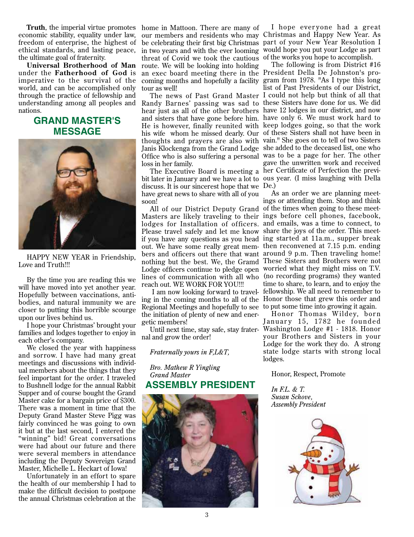economic stability, equality under law, freedom of enterprise, the highest of ethical standards, and lasting peace, the ultimate goal of fraternity.

under the **Fatherhood of God** is imperative to the sur vival of the world, and can be accomplished only through the practice of fellowship and understanding among all peoples and nations.

### **GRAND MASTER'S MESSAGE**



HAPPY NEW YEAR in Friendship, Love and Truth!!!

By the time you are reading this we will have moved into yet another year. Hopefully between vaccinations, antibodies, and natural immunity we are closer to putting this horrible scourge upon our lives behind us.

I hope your Christmas' brought your families and lodges together to enjoy in each other's company.

We closed the year with happiness and sorrow. I have had many great meetings and discussions with individual members about the things that they feel important for the order. I traveled to Bushnell lodge for the annual Rabbit Supper and of course bought the Grand Master cake for a bargain price of \$300. There was a moment in time that the Deputy Grand Master Steve Pigg was fairly convinced he was going to own it but at the last second, I entered the "winning" bid! Great conversations were had about our future and there were several members in attendance including the Deputy Sovereign Grand Master, Michelle L. Heckart of Iowa!

Unfortunately in an effort to spare the health of our membership I had to make the difficult decision to postpone the annual Christmas celebration at the

**Truth**, the imperial virtue promotes home in Mattoon. There are many of **Universal Brotherhood of Man** route. We will be looking into holding our members and residents who may Christmas and Happy New Year. As be celebrating their first big Christmas part of your New Year Resolution I in two years and with the ever looming threat of Covid we took the cautious of the works you hope to accomplish. an exec board meeting there in the President Della De Johnston's procoming months and hopefully a facility tour as well!

> Randy Barnes' passing was sad to these Sisters have done for us. We did hear just as all of the other brothers have 12 lodges in our district, and now and sisters that have gone before him. have only 6. We must work hard to He is however, finally reunited with keep lodges going, so that the work his wife whom he missed dearly. Our of these Sisters shall not have been in thoughts and prayers are also with vain." She goes on to tell of two Sisters Janis Klockenga from the Grand Lodge she added to the deceased list, one who Office who is also suffering a personal was to be a page for her. The other loss in her family.

> bit later in January and we have a lot to ous year. (I miss laughing with Della discuss. It is our sincerest hope that we De.) have great news to share with all of you soon!

> Masters are likely traveling to their ings before cell phones, facebook, lodges for Installation of of ficers. and emails, was a time to connect, to Please travel safely and let me know share the joys of the order. This meetif you have any questions as you head ing started at 11a.m., supper break out. We have some really great mem-then reconvened at 7.15 p.m. ending bers and officers out there that want around 9 p.m. Then traveling home! nothing but the best. We, the Gramd These Sisters and Brothers were not Lodge officers continue to pledge open worried what they might miss on T.V. lines of communication with all who (no recording programs) they wanted reach out. WE WORK FOR YOU!!!

Regional Meetings and hopefully to see to put some time into growing it again. the initiation of plenty of new and energetic members!

nal and grow the order!

*Fraternally yours in F,L&T,*

*Bro. Mathew R Yingling Grand Master* **ASSEMBLY PRESIDENT**



I hope everyone had a great would hope you put your Lodge as part

The news of Past Grand Master I could not help but think of all that The Executive Board is meeting a her Certificate of Perfection the previ-The following is from District #16 gram from 1978. "As I type this long list of Past Presidents of our District, gave the unwritten work and received

All of our District Deputy Grand of the times when going to these meet- I am now looking forward to travel-fellowship. We all need to remember to ing in the coming months to all of the Honor those that grew this order and As an order we are planning meetings or attending them. Stop and think time to share, to learn, and to enjoy the

Until next time, stay safe, stay frater-Washington Lodge #1 - 1818. Honor Honor Thomas Wildey, born January 15, 1782 he founded your Brothers and Sisters in your Lodge for the work they do. A strong state lodge starts with strong local lodges.

Honor, Respect, Promote

*In F.L. & T. Susan Schove, Assembly President*

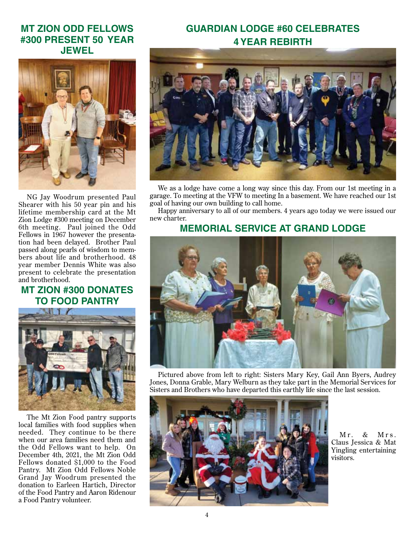### **MT ZION ODD FELLOWS #300 PRESENT 50 YEAR JEWEL**



NG Jay Woodrum presented Paul Shearer with his 50 year pin and his lifetime membership card at the Mt Zion Lodge #300 meeting on December 6th meeting. Paul joined the Odd Fellows in 1967 however the presentation had been delayed. Brother Paul passed along pearls of wisdom to members about life and brotherhood. 48 year member Dennis White was also present to celebrate the presentation and brotherhood.

## **MT ZION #300 DONATES TO FOOD PANTRY**



The Mt Zion Food pantry supports local families with food supplies when needed. They continue to be there when our area families need them and the Odd Fellows want to help. On December 4th, 2021, the Mt Zion Odd Fellows donated \$1,000 to the Food Pantry. Mt Zion Odd Fellows Noble Grand Jay Woodrum presented the donation to Earleen Hartich, Director of the Food Pantry and Aaron Ridenour a Food Pantry volunteer.

## **GUARDIAN LODGE #60 CELEBRATES 4 YEAR REBIRTH**



We as a lodge have come a long way since this day. From our 1st meeting in a garage. To meeting at the VFW to meeting In a basement. We have reached our 1st goal of having our own building to call home.

Happy anniversary to all of our members. 4 years ago today we were issued our new charter.

### **MEMORIAL SERVICE AT GRAND LODGE**



Pictured above from left to right: Sisters Mary Key, Gail Ann Byers, Audrey Jones, Donna Grable, Mary Welburn as they take part in the Memorial Services for Sisters and Brothers who have departed this earthly life since the last session.



 $Mr$  & M r s . Claus Jessica & Mat Yingling entertaining visitors.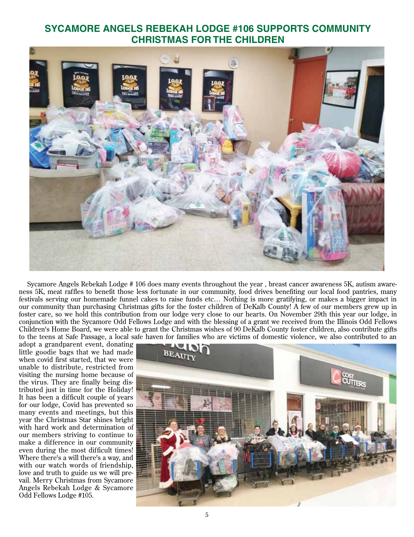### **SYCAMORE ANGELS REBEKAH LODGE #106 SUPPORTS COMMUNITY CHRISTMAS FOR THE CHILDREN**



Sycamore Angels Rebekah Lodge # 106 does many events throughout the year , breast cancer awareness 5K, autism awareness 5K, meat raffles to benefit those less fortunate in our community, food drives benefiting our local food pantries, many festivals serving our homemade funnel cakes to raise funds etc… Nothing is more gratifying, or makes a bigger impact in our community than purchasing Christmas gifts for the foster children of DeKalb County! A few of our members grew up in foster care, so we hold this contribution from our lodge very close to our hearts. On November 29th this year our lodge, in conjunction with the Sycamore Odd Fellows Lodge and with the blessing of a grant we received from the Illinois Odd Fellows Children's Home Board, we were able to grant the Christmas wishes of 90 DeKalb County foster children, also contribute gifts to the teens at Safe Passage, a local safe haven for families who are victims of domestic violence, we also contributed to an

adopt a grandparent event, donating little goodie bags that we had made when covid first started, that we were unable to distribute, restricted from visiting the nursing home because of the virus. They are finally being distributed just in time for the Holiday! It has been a difficult couple of years for our lodge, Covid has prevented so many events and meetings, but this year the Christmas Star shines bright with hard work and determination of our members striving to continue to make a difference in our community even during the most difficult times! Where there's a will there's a way, and with our watch words of friendship, love and truth to guide us we will prevail. Merry Christmas from Sycamore Angels Rebekah Lodge & Sycamore Odd Fellows Lodge #105.

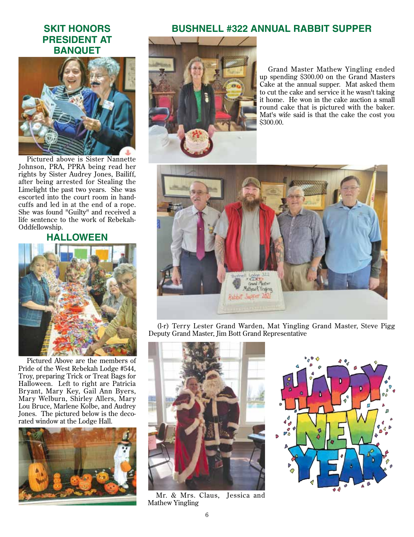### **SKIT HONORS PRESIDENT AT BANQUET**



Pictured above is Sister Nannette Johnson, PRA, PPRA being read her rights by Sister Audrey Jones, Bailiff, after being arrested for Stealing the Limelight the past two years. She was escorted into the court room in handcuffs and led in at the end of a rope. She was found "Guilty" and received a life sentence to the work of Rebekah-Oddfellowship.

### **HALLOWEEN**



Pictured Above are the members of Pride of the West Rebekah Lodge #544, Troy, preparing Trick or Treat Bags for Halloween. Left to right are Patricia Bryant, Mary Key, Gail Ann Byers, Mary Welburn, Shirley Allers, Mary Lou Bruce, Marlene Kolbe, and Audrey Jones. The pictured below is the decorated window at the Lodge Hall.



### **BUSHNELL #322 ANNUAL RABBIT SUPPER**



Grand Master Mathew Yingling ended up spending \$300.00 on the Grand Masters Cake at the annual supper. Mat asked them to cut the cake and service it he wasn't taking it home. He won in the cake auction a small round cake that is pictured with the baker. Mat's wife said is that the cake the cost you \$300.00.



(l-r) Terry Lester Grand Warden, Mat Yingling Grand Master, Steve Pigg Deputy Grand Master, Jim Bott Grand Representative



Mr. & Mrs. Claus, Jessica and Mathew Yingling

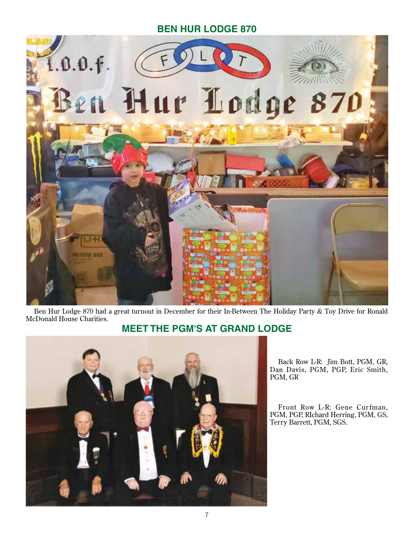### **Ben Hur Lodge 870**



Ben Hur Lodge 870 had a great turnout in December for their In-Between The Holiday Party & Toy Drive for Ronald McDonald House Charities.

## **MEET THE PGM's AT GRAND LODGE**



Back Row L-R: Jim Bott, PGM, GR, Dan Davis, PGM, PGP, Eric Smith, PGM, GR

Front Row L-R: Gene Curfman, PGM, PGP, RIchard Herring, PGM, GS, Terry Barrett, PGM, SGS.